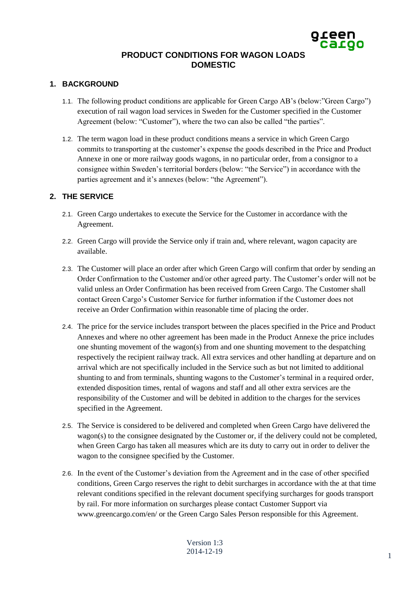# **PRODUCT CONDITIONS FOR WAGON LOADS DOMESTIC**

## **1. BACKGROUND**

- 1.1. The following product conditions are applicable for Green Cargo AB's (below:"Green Cargo") execution of rail wagon load services in Sweden for the Customer specified in the Customer Agreement (below: "Customer"), where the two can also be called "the parties".
- 1.2. The term wagon load in these product conditions means a service in which Green Cargo commits to transporting at the customer's expense the goods described in the Price and Product Annexe in one or more railway goods wagons, in no particular order, from a consignor to a consignee within Sweden's territorial borders (below: "the Service") in accordance with the parties agreement and it's annexes (below: "the Agreement").

## **2. THE SERVICE**

- 2.1. Green Cargo undertakes to execute the Service for the Customer in accordance with the Agreement.
- 2.2. Green Cargo will provide the Service only if train and, where relevant, wagon capacity are available.
- 2.3. The Customer will place an order after which Green Cargo will confirm that order by sending an Order Confirmation to the Customer and/or other agreed party. The Customer's order will not be valid unless an Order Confirmation has been received from Green Cargo. The Customer shall contact Green Cargo's Customer Service for further information if the Customer does not receive an Order Confirmation within reasonable time of placing the order.
- 2.4. The price for the service includes transport between the places specified in the Price and Product Annexes and where no other agreement has been made in the Product Annexe the price includes one shunting movement of the wagon(s) from and one shunting movement to the despatching respectively the recipient railway track. All extra services and other handling at departure and on arrival which are not specifically included in the Service such as but not limited to additional shunting to and from terminals, shunting wagons to the Customer's terminal in a required order, extended disposition times, rental of wagons and staff and all other extra services are the responsibility of the Customer and will be debited in addition to the charges for the services specified in the Agreement.
- 2.5. The Service is considered to be delivered and completed when Green Cargo have delivered the wagon(s) to the consignee designated by the Customer or, if the delivery could not be completed, when Green Cargo has taken all measures which are its duty to carry out in order to deliver the wagon to the consignee specified by the Customer.
- 2.6. In the event of the Customer's deviation from the Agreement and in the case of other specified conditions, Green Cargo reserves the right to debit surcharges in accordance with the at that time relevant conditions specified in the relevant document specifying surcharges for goods transport by rail. For more information on surcharges please contact Customer Support via [www.greencargo.com/en/](http://www.greencargo.com/en/) or the Green Cargo Sales Person responsible for this Agreement.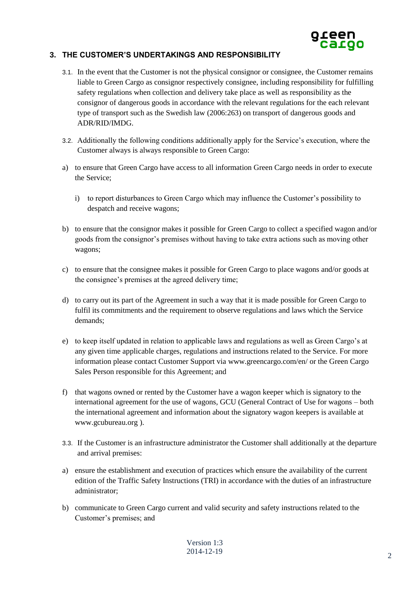

### **3. THE CUSTOMER'S UNDERTAKINGS AND RESPONSIBILITY**

- 3.1. In the event that the Customer is not the physical consignor or consignee, the Customer remains liable to Green Cargo as consignor respectively consignee, including responsibility for fulfilling safety regulations when collection and delivery take place as well as responsibility as the consignor of dangerous goods in accordance with the relevant regulations for the each relevant type of transport such as the Swedish law (2006:263) on transport of dangerous goods and ADR/RID/IMDG.
- 3.2. Additionally the following conditions additionally apply for the Service's execution, where the Customer always is always responsible to Green Cargo:
- a) to ensure that Green Cargo have access to all information Green Cargo needs in order to execute the Service;
	- i) to report disturbances to Green Cargo which may influence the Customer's possibility to despatch and receive wagons;
- b) to ensure that the consignor makes it possible for Green Cargo to collect a specified wagon and/or goods from the consignor's premises without having to take extra actions such as moving other wagons;
- c) to ensure that the consignee makes it possible for Green Cargo to place wagons and/or goods at the consignee's premises at the agreed delivery time;
- d) to carry out its part of the Agreement in such a way that it is made possible for Green Cargo to fulfil its commitments and the requirement to observe regulations and laws which the Service demands;
- e) to keep itself updated in relation to applicable laws and regulations as well as Green Cargo's at any given time applicable charges, regulations and instructions related to the Service. For more information please contact Customer Support via [www.greencargo.com/en/](http://www.greencargo.com/en/) or the Green Cargo Sales Person responsible for this Agreement; and
- f) that wagons owned or rented by the Customer have a wagon keeper which is signatory to the international agreement for the use of wagons, GCU (General Contract of Use for wagons – both the international agreement and information about the signatory wagon keepers is available at [www.gcubureau.org](http://www.gcubureau.org/) ).
- 3.3. If the Customer is an infrastructure administrator the Customer shall additionally at the departure and arrival premises:
- a) ensure the establishment and execution of practices which ensure the availability of the current edition of the Traffic Safety Instructions (TRI) in accordance with the duties of an infrastructure administrator;
- b) communicate to Green Cargo current and valid security and safety instructions related to the Customer's premises; and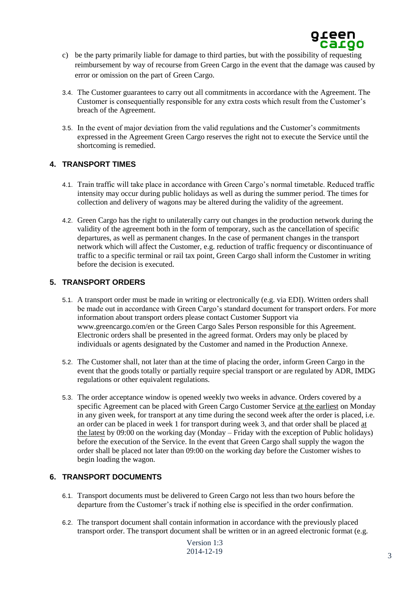

- c) be the party primarily liable for damage to third parties, but with the possibility of requesting reimbursement by way of recourse from Green Cargo in the event that the damage was caused by error or omission on the part of Green Cargo.
- 3.4. The Customer guarantees to carry out all commitments in accordance with the Agreement. The Customer is consequentially responsible for any extra costs which result from the Customer's breach of the Agreement.
- 3.5. In the event of major deviation from the valid regulations and the Customer's commitments expressed in the Agreement Green Cargo reserves the right not to execute the Service until the shortcoming is remedied.

#### **4. TRANSPORT TIMES**

- 4.1. Train traffic will take place in accordance with Green Cargo's normal timetable. Reduced traffic intensity may occur during public holidays as well as during the summer period. The times for collection and delivery of wagons may be altered during the validity of the agreement.
- 4.2. Green Cargo has the right to unilaterally carry out changes in the production network during the validity of the agreement both in the form of temporary, such as the cancellation of specific departures, as well as permanent changes. In the case of permanent changes in the transport network which will affect the Customer, e.g. reduction of traffic frequency or discontinuance of traffic to a specific terminal or rail tax point, Green Cargo shall inform the Customer in writing before the decision is executed.

#### **5. TRANSPORT ORDERS**

- 5.1. A transport order must be made in writing or electronically (e.g. via EDI). Written orders shall be made out in accordance with Green Cargo's standard document for transport orders. For more information about transport orders please contact Customer Support via www.greencargo.com/en or the Green Cargo Sales Person responsible for this Agreement. Electronic orders shall be presented in the agreed format. Orders may only be placed by individuals or agents designated by the Customer and named in the Production Annexe.
- 5.2. The Customer shall, not later than at the time of placing the order, inform Green Cargo in the event that the goods totally or partially require special transport or are regulated by ADR, IMDG regulations or other equivalent regulations.
- 5.3. The order acceptance window is opened weekly two weeks in advance. Orders covered by a specific Agreement can be placed with Green Cargo Customer Service at the earliest on Monday in any given week, for transport at any time during the second week after the order is placed, i.e. an order can be placed in week 1 for transport during week 3, and that order shall be placed at the latest by 09:00 on the working day (Monday – Friday with the exception of Public holidays) before the execution of the Service. In the event that Green Cargo shall supply the wagon the order shall be placed not later than 09:00 on the working day before the Customer wishes to begin loading the wagon.

#### **6. TRANSPORT DOCUMENTS**

- 6.1. Transport documents must be delivered to Green Cargo not less than two hours before the departure from the Customer's track if nothing else is specified in the order confirmation.
- 6.2. The transport document shall contain information in accordance with the previously placed transport order. The transport document shall be written or in an agreed electronic format (e.g.

Version 1:3 2014-12-19 3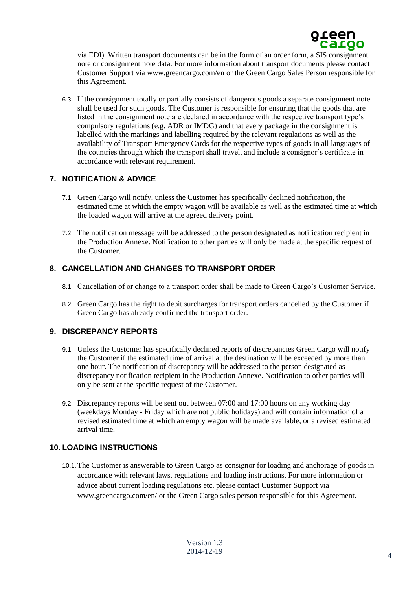

via EDI). Written transport documents can be in the form of an order form, a SIS consignment note or consignment note data. For more information about transport documents please contact Customer Support via www.greencargo.com/en or the Green Cargo Sales Person responsible for this Agreement.

6.3. If the consignment totally or partially consists of dangerous goods a separate consignment note shall be used for such goods. The Customer is responsible for ensuring that the goods that are listed in the consignment note are declared in accordance with the respective transport type's compulsory regulations (e.g. ADR or IMDG) and that every package in the consignment is labelled with the markings and labelling required by the relevant regulations as well as the availability of Transport Emergency Cards for the respective types of goods in all languages of the countries through which the transport shall travel, and include a consignor's certificate in accordance with relevant requirement.

## **7. NOTIFICATION & ADVICE**

- 7.1. Green Cargo will notify, unless the Customer has specifically declined notification, the estimated time at which the empty wagon will be available as well as the estimated time at which the loaded wagon will arrive at the agreed delivery point.
- 7.2. The notification message will be addressed to the person designated as notification recipient in the Production Annexe. Notification to other parties will only be made at the specific request of the Customer.

# **8. CANCELLATION AND CHANGES TO TRANSPORT ORDER**

- 8.1. Cancellation of or change to a transport order shall be made to Green Cargo's Customer Service.
- 8.2. Green Cargo has the right to debit surcharges for transport orders cancelled by the Customer if Green Cargo has already confirmed the transport order.

## **9. DISCREPANCY REPORTS**

- 9.1. Unless the Customer has specifically declined reports of discrepancies Green Cargo will notify the Customer if the estimated time of arrival at the destination will be exceeded by more than one hour. The notification of discrepancy will be addressed to the person designated as discrepancy notification recipient in the Production Annexe. Notification to other parties will only be sent at the specific request of the Customer.
- 9.2. Discrepancy reports will be sent out between 07:00 and 17:00 hours on any working day (weekdays Monday - Friday which are not public holidays) and will contain information of a revised estimated time at which an empty wagon will be made available, or a revised estimated arrival time.

## **10. LOADING INSTRUCTIONS**

10.1.The Customer is answerable to Green Cargo as consignor for loading and anchorage of goods in accordance with relevant laws, regulations and loading instructions. For more information or advice about current loading regulations etc. please contact Customer Support via [www.greencargo.com/en/](http://www.greencargo.com/en/) or the Green Cargo sales person responsible for this Agreement.